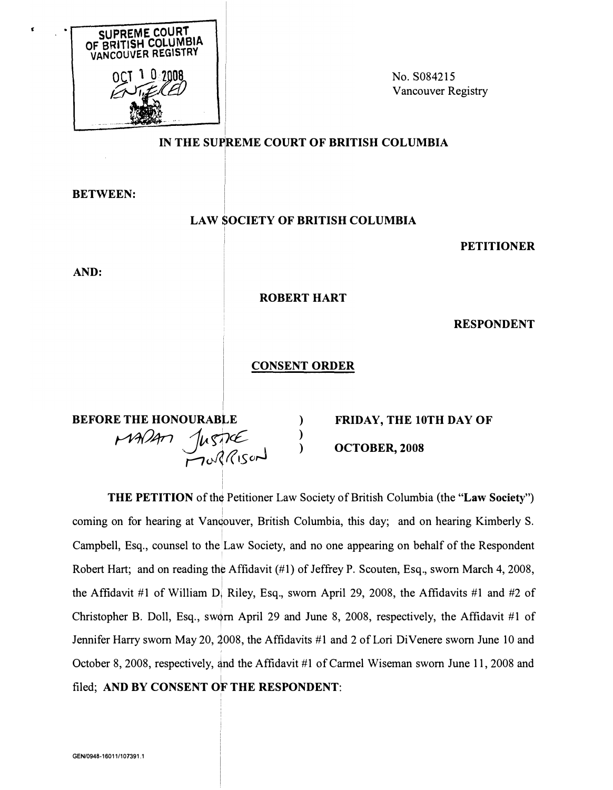

No. S084215 Vancouver Registry

## IN THE SUPREME COURT OF BRITISH COLUMBIA

**BETWEEN:** 

## **LAW SOCIETY OF BRITISH COLUMBIA**

**PETITIONER** 

AND:

**ROBERT HART** 

**RESPONDENT** 

## **CONSENT ORDER**

**BEFORE THE HONOURABI** MADAM JUSTICE ) **FRIDAY, THE 10TH DAY OF** OCTOBER, 2008

**THE PETITION** of the Petitioner Law Society of British Columbia (the "Law Society") coming on for hearing at Vandouver, British Columbia, this day; and on hearing Kimberly S. Campbell, Esq., counsel to the Law Society, and no one appearing on behalf of the Respondent Robert Hart; and on reading the Affidavit (#1) of Jeffrey P. Scouten, Esq., sworn March 4, 2008, the Affidavit #1 of William D. Riley, Esq., sworn April 29, 2008, the Affidavits #1 and #2 of Christopher B. Doll, Esq., sworn April 29 and June 8, 2008, respectively, the Affidavit #1 of Jennifer Harry sworn May 20, 2008, the Affidavits #1 and 2 of Lori DiVenere sworn June 10 and October 8, 2008, respectively, and the Affidavit #1 of Carmel Wiseman sworn June 11, 2008 and filed; AND BY CONSENT OF THE RESPONDENT: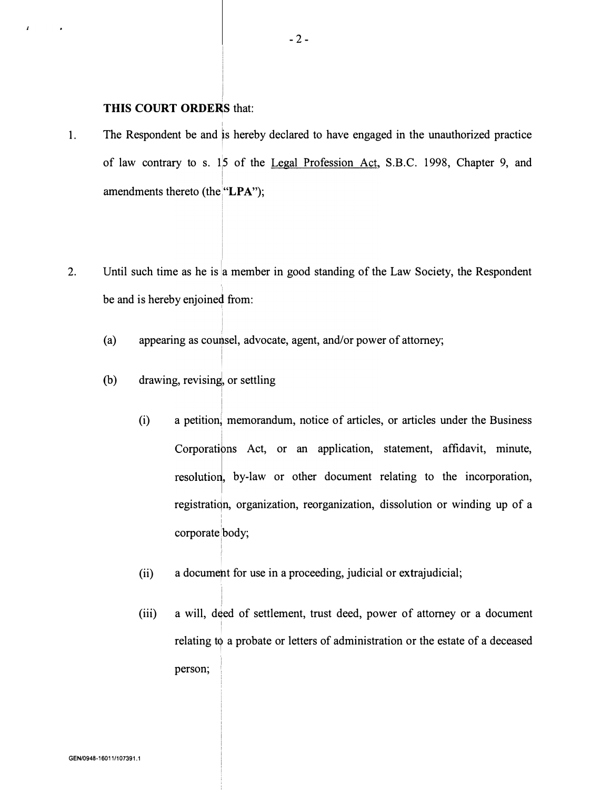## THIS COURT ORDERS that:

 $\lambda$ 

I

- 1. The Respondent be and is hereby declared to have engaged in the unauthorized practice l. of law contrary to s.  $1\frac{1}{5}$  of the <u>Legal Profession Act</u>, S.B.C. 1998, Chapter 9, and amendments thereto (the "LPA");
- 2. Until such time as he is a member in good standing of the Law Society, the Respondent be and is hereby enjoined from:
	- (a) |<br>|<br>|appearing as counsel, advocate, agent, and/or power of attorney;
	- (b) drawing, revising, or settling

I

I

- (i) a petition) memorandum, notice of articles, or articles under the Business Corporations Act, or an application, statement, affidavit, minute, resolution, by-law or other document relating to the incorporation, registration, organization, reorganization, dissolution or winding up of a I I corporate body;
- (ii) a document for use in a proceeding, judicial or extrajudicial;
- (iii) a will, d�ed of settlement, trust deed, power of attorney or a document I relating to a probate or letters of administration or the estate of a deceased I person; <sup>1</sup>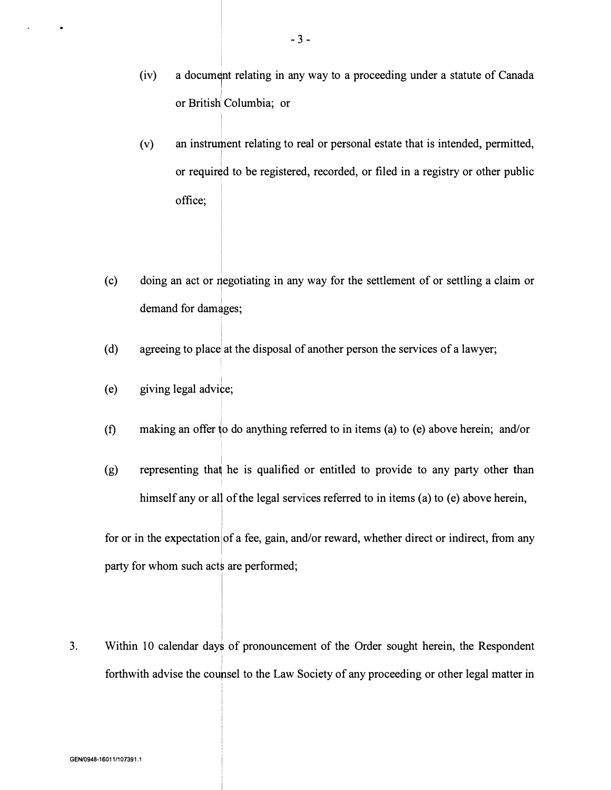- $(iv)$  a document relating in any way to a proceeding under a statute of Canada I or British Columbia; or
- (v) an instrurhent relating to real or personal estate that is intended, permitted, I or requir�d to be registered, recorded, or filed in a registry or other public office;
- (c) doing an act or negotiating in any way for the settlement of or settling a claim or demand for damages;
- (d) agreeing to place at the disposal of another person the services of a lawyer;
- I (e) giving legal advi�e;
- (f) making an offer �o do anything referred to in items (a) to (e) above herein; and/or
- I (g) representing tha� he is qualified or entitled to provide to any party other than himself any or all of the legal services referred to in items (a) to (e) above herein,

for or in the expectation of a fee, gain, and/or reward, whether direct or indirect, from any I party for whom such acts are performed;

3. Within 10 calendar day� of pronouncement of the Order sought herein, the Respondent forthwith advise the coupsel to the Law Society of any proceeding or other legal matter in

i

I

! I I

I

I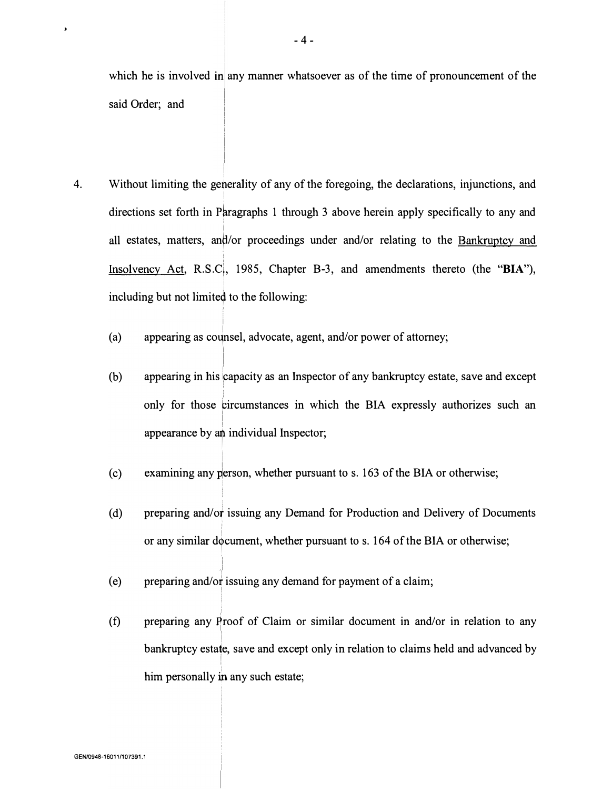which he is involved in any manner whatsoever as of the time of pronouncement of the said Order; and

- 4. Without limiting the generality of any of the foregoing, the declarations, injunctions, and ! directions set forth in Paragraphs 1 through 3 above herein apply specifically to any and I all estates, matters, an�/or proceedings under and/or relating to the Bankruptcy and Insolvency Act, R.S.C., 1985, Chapter B-3, and amendments thereto (the "BIA"), including but not limited to the following:
	- (a) appearing as counsel, advocate, agent, and/or power of attorney;

I !

 $\lambda$ 

i

I

- (b) appearing in his capacity as an Inspector of any bankruptcy estate, save and except only for those �ircumstances in which the BIA expressly authorizes such an  $\overline{a}$ appearance by an individual Inspector;
- (c) examining any person, whether pursuant to s. 163 of the BIA or otherwise;
- (d) preparing and/or issuing any Demand for Production and Delivery of Documents I or any similar document, whether pursuant to s. 164 of the BIA or otherwise;
- (e) preparing and/or issuing any demand for payment of a claim; !
- (f) preparing any �roof of Claim or similar document in and/or in relation to any bankruptcy estate, save and except only in relation to claims held and advanced by ! him personally in any such estate;